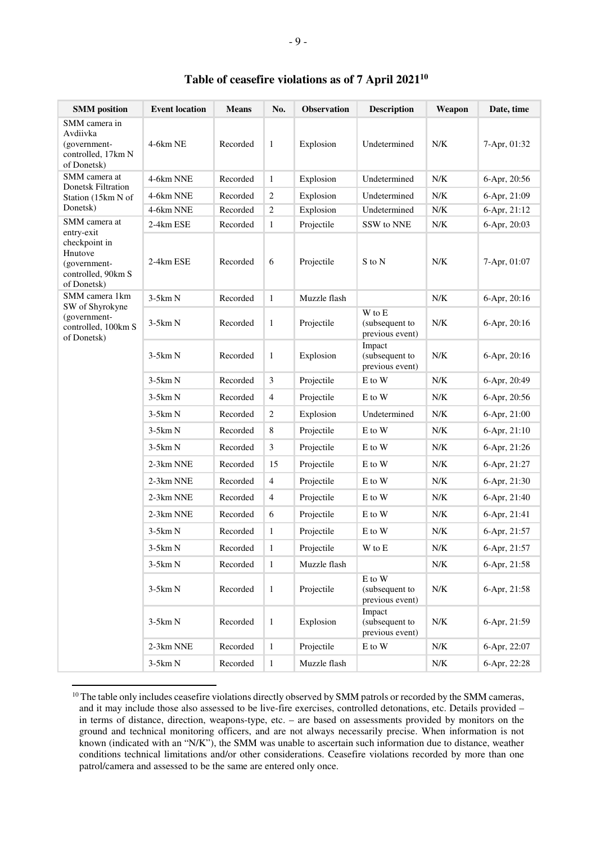| <b>SMM</b> position                                                            | <b>Event location</b> | <b>Means</b> | No.            | Observation  | <b>Description</b>                                              | Weapon      | Date, time   |
|--------------------------------------------------------------------------------|-----------------------|--------------|----------------|--------------|-----------------------------------------------------------------|-------------|--------------|
| SMM camera in<br>Avdiivka<br>(government-<br>controlled, 17km N<br>of Donetsk) | $4-6km$ NE            | Recorded     | $\mathbf{1}$   | Explosion    | Undetermined                                                    | N/K         | 7-Apr, 01:32 |
| SMM camera at<br>Donetsk Filtration<br>Station (15km N of                      | 4-6km NNE             | Recorded     | $\mathbf{1}$   | Explosion    | Undetermined                                                    | N/K         | 6-Apr, 20:56 |
|                                                                                | 4-6km NNE             | Recorded     | $\overline{2}$ | Explosion    | Undetermined                                                    | N/K         | 6-Apr, 21:09 |
| Donetsk)                                                                       | 4-6km NNE             | Recorded     | $\mathbf{2}$   | Explosion    | Undetermined                                                    | N/K         | 6-Apr, 21:12 |
| SMM camera at<br>entry-exit                                                    | 2-4km ESE             | Recorded     | $\mathbf{1}$   | Projectile   | SSW to NNE                                                      | N/K         | 6-Apr, 20:03 |
| checkpoint in<br>Hnutove<br>(government-<br>controlled, 90km S<br>of Donetsk)  | 2-4km ESE             | Recorded     | 6              | Projectile   | S to N                                                          | N/K         | 7-Apr, 01:07 |
| SMM camera 1km                                                                 | $3-5km N$             | Recorded     | $\mathbf{1}$   | Muzzle flash |                                                                 | N/K         | 6-Apr, 20:16 |
| SW of Shyrokyne<br>(government-<br>controlled, 100km S<br>of Donetsk)          | $3-5km N$             | Recorded     | 1              | Projectile   | $\mathbf W$ to $\mathbf E$<br>(subsequent to<br>previous event) | ${\rm N/K}$ | 6-Apr, 20:16 |
|                                                                                | $3-5km N$             | Recorded     | $\mathbf{1}$   | Explosion    | Impact<br>(subsequent to<br>previous event)                     | N/K         | 6-Apr, 20:16 |
|                                                                                | $3-5km N$             | Recorded     | 3              | Projectile   | E to W                                                          | N/K         | 6-Apr, 20:49 |
|                                                                                | $3-5km N$             | Recorded     | $\overline{4}$ | Projectile   | E to W                                                          | N/K         | 6-Apr, 20:56 |
|                                                                                | $3-5km N$             | Recorded     | $\sqrt{2}$     | Explosion    | Undetermined                                                    | N/K         | 6-Apr, 21:00 |
|                                                                                | $3-5km N$             | Recorded     | 8              | Projectile   | E to W                                                          | N/K         | 6-Apr, 21:10 |
|                                                                                | $3-5km N$             | Recorded     | 3              | Projectile   | E to W                                                          | N/K         | 6-Apr, 21:26 |
|                                                                                | 2-3km NNE             | Recorded     | 15             | Projectile   | E to W                                                          | N/K         | 6-Apr, 21:27 |
|                                                                                | 2-3km NNE             | Recorded     | $\overline{4}$ | Projectile   | E to W                                                          | N/K         | 6-Apr, 21:30 |
|                                                                                | 2-3km NNE             | Recorded     | $\overline{4}$ | Projectile   | E to W                                                          | N/K         | 6-Apr, 21:40 |
|                                                                                | 2-3km NNE             | Recorded     | 6              | Projectile   | E to W                                                          | N/K         | 6-Apr, 21:41 |
|                                                                                | $3-5km N$             | Recorded     | $\mathbf{1}$   | Projectile   | E to W                                                          | N/K         | 6-Apr, 21:57 |
|                                                                                | $3-5km N$             | Recorded     | $\mathbf{1}$   | Projectile   | W to E                                                          | ${\rm N/K}$ | 6-Apr, 21:57 |
|                                                                                | $3-5km N$             | Recorded     | $\mathbf{1}$   | Muzzle flash |                                                                 | N/K         | 6-Apr, 21:58 |
|                                                                                | $3-5km N$             | Recorded     | $\mathbf{1}$   | Projectile   | $\mathbf E$ to $\mathbf W$<br>(subsequent to<br>previous event) | ${\rm N/K}$ | 6-Apr, 21:58 |
|                                                                                | $3-5km N$             | Recorded     | $\mathbf{1}$   | Explosion    | Impact<br>(subsequent to<br>previous event)                     | ${\rm N/K}$ | 6-Apr, 21:59 |
|                                                                                | 2-3km NNE             | Recorded     | $\mathbf{1}$   | Projectile   | E to W                                                          | ${\rm N/K}$ | 6-Apr, 22:07 |
|                                                                                | 3-5km N               | Recorded     | $1\,$          | Muzzle flash |                                                                 | ${\rm N/K}$ | 6-Apr, 22:28 |

## **Table of ceasefire violations as of 7 April 2021<sup>10</sup>**

 $\overline{a}$ 

<sup>&</sup>lt;sup>10</sup> The table only includes ceasefire violations directly observed by SMM patrols or recorded by the SMM cameras, and it may include those also assessed to be live-fire exercises, controlled detonations, etc. Details provided – in terms of distance, direction, weapons-type, etc. – are based on assessments provided by monitors on the ground and technical monitoring officers, and are not always necessarily precise. When information is not known (indicated with an "N/K"), the SMM was unable to ascertain such information due to distance, weather conditions technical limitations and/or other considerations. Ceasefire violations recorded by more than one patrol/camera and assessed to be the same are entered only once.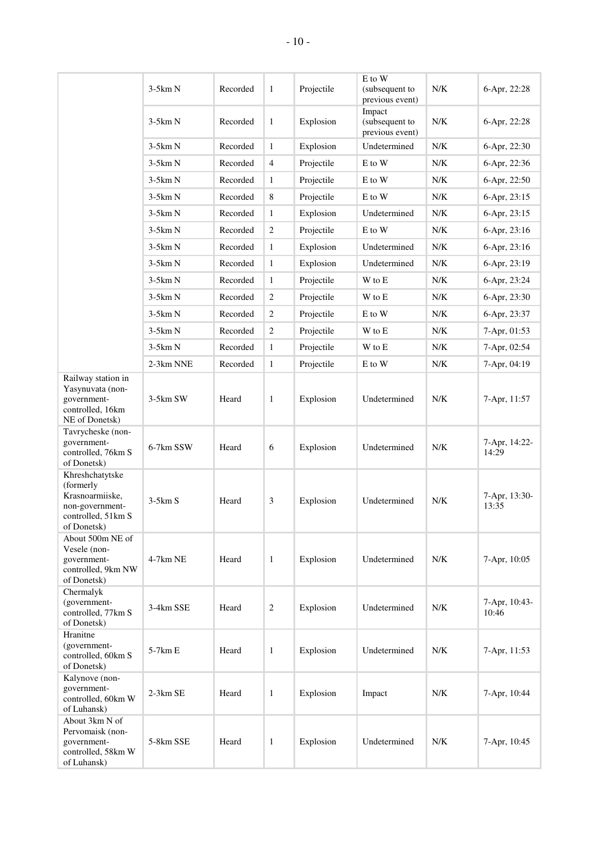|                                                                                                         | $3-5km N$ | Recorded | $\mathbf{1}$     | Projectile | E to W<br>(subsequent to<br>previous event) | N/K | 6-Apr, 22:28           |
|---------------------------------------------------------------------------------------------------------|-----------|----------|------------------|------------|---------------------------------------------|-----|------------------------|
|                                                                                                         | $3-5km N$ | Recorded | $\mathbf{1}$     | Explosion  | Impact<br>(subsequent to<br>previous event) | N/K | 6-Apr, 22:28           |
|                                                                                                         | $3-5km N$ | Recorded | $\mathbf{1}$     | Explosion  | Undetermined                                | N/K | 6-Apr, 22:30           |
|                                                                                                         | $3-5km N$ | Recorded | 4                | Projectile | E to W                                      | N/K | 6-Apr, 22:36           |
|                                                                                                         | $3-5km N$ | Recorded | $\mathbf{1}$     | Projectile | E to W                                      | N/K | 6-Apr, 22:50           |
|                                                                                                         | $3-5km N$ | Recorded | 8                | Projectile | E to W                                      | N/K | 6-Apr, 23:15           |
|                                                                                                         | $3-5km N$ | Recorded | $\mathbf{1}$     | Explosion  | Undetermined                                | N/K | 6-Apr, 23:15           |
|                                                                                                         | $3-5km N$ | Recorded | $\overline{c}$   | Projectile | E to W                                      | N/K | 6-Apr, 23:16           |
|                                                                                                         | $3-5km N$ | Recorded | $\mathbf{1}$     | Explosion  | Undetermined                                | N/K | 6-Apr, 23:16           |
|                                                                                                         | $3-5km N$ | Recorded | $\mathbf{1}$     | Explosion  | Undetermined                                | N/K | 6-Apr, 23:19           |
|                                                                                                         | $3-5km N$ | Recorded | $\mathbf{1}$     | Projectile | W to E                                      | N/K | 6-Apr, 23:24           |
|                                                                                                         | $3-5km N$ | Recorded | $\overline{c}$   | Projectile | W to E                                      | N/K | 6-Apr, 23:30           |
|                                                                                                         | $3-5km N$ | Recorded | $\overline{c}$   | Projectile | E to W                                      | N/K | 6-Apr, 23:37           |
|                                                                                                         | $3-5km N$ | Recorded | $\overline{c}$   | Projectile | W to E                                      | N/K | 7-Apr, 01:53           |
|                                                                                                         | $3-5km N$ | Recorded | $\mathbf{1}$     | Projectile | W to E                                      | N/K | 7-Apr, 02:54           |
|                                                                                                         | 2-3km NNE | Recorded | $\mathbf{1}$     | Projectile | E to W                                      | N/K | 7-Apr, 04:19           |
| Railway station in<br>Yasynuvata (non-<br>government-<br>controlled, 16km<br>NE of Donetsk)             | 3-5km SW  | Heard    | $\mathbf{1}$     | Explosion  | Undetermined                                | N/K | 7-Apr, 11:57           |
| Tavrycheske (non-<br>government-<br>controlled, 76km S<br>of Donetsk)                                   | 6-7km SSW | Heard    | 6                | Explosion  | Undetermined                                | N/K | 7-Apr, 14:22-<br>14:29 |
| Khreshchatytske<br>(formerly<br>Krasnoarmiiske,<br>non-government-<br>controlled, 51km S<br>of Donetsk) | $3-5km S$ | Heard    | 3                | Explosion  | Undetermined                                | N/K | 7-Apr, 13:30-<br>13:35 |
| About 500m NE of<br>Vesele (non-<br>government-<br>controlled, 9km NW<br>of Donetsk)                    | 4-7km NE  | Heard    | $\mathbf{1}$     | Explosion  | Undetermined                                | N/K | 7-Apr, 10:05           |
| Chermalyk<br>(government-<br>controlled, 77km S<br>of Donetsk)                                          | 3-4km SSE | Heard    | $\boldsymbol{2}$ | Explosion  | Undetermined                                | N/K | 7-Apr, 10:43-<br>10:46 |
| Hranitne<br>(government-<br>controlled, 60km S<br>of Donetsk)                                           | 5-7km E   | Heard    | 1                | Explosion  | Undetermined                                | N/K | 7-Apr, 11:53           |
| Kalynove (non-<br>government-<br>controlled, 60km W<br>of Luhansk)                                      | 2-3km SE  | Heard    | $\mathbf{1}$     | Explosion  | Impact                                      | N/K | 7-Apr, 10:44           |
| About 3km N of<br>Pervomaisk (non-<br>government-<br>controlled, 58km W<br>of Luhansk)                  | 5-8km SSE | Heard    | $\mathbf{1}$     | Explosion  | Undetermined                                | N/K | 7-Apr, 10:45           |